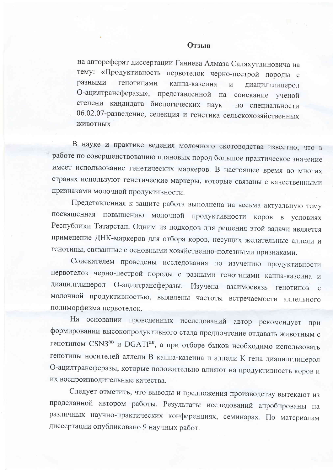на автореферат диссертации Ганиева Алмаза Саляхутдиновича на тему: «Продуктивность первотелок черно-пестрой породы с разными генотипами каппа-казеина  $H$ диацилглицерол О-ацилтрансферазы», представленной на соискание ученой степени кандидата биологических наук по специальности 06.02.07-разведение, селекция и генетика сельскохозяйственных ЖИВОТНЫХ

В науке и практике ведения молочного скотоводства известно, что в работе по совершенствованию плановых пород большое практическое значение имеет использование генетических маркеров. В настоящее время во многих странах используют генетические маркеры, которые связаны с качественными признаками молочной продуктивности.

Представленная к защите работа выполнена на весьма актуальную тему посвященная повышению молочной продуктивности коров в условиях Республики Татарстан. Одним из подходов для решения этой задачи является применение ДНК-маркеров для отбора коров, несущих желательные аллели и генотипы, связанные с основными хозяйственно-полезными признаками.

Соискателем проведены исследования по изучению продуктивности первотелок черно-пестрой породы с разными генотипами каппа-казеина и диацилглицерол О-ацилтрансферазы. Изучена взаимосвязь генотипов с молочной продуктивностью, выявлены частоты встречаемости аллельного полиморфизма первотелок.

На основании проведенных исследований автор рекомендует при формировании высокопродуктивного стада предпочтение отдавать животным с генотипом CSN3<sup>ав</sup> и DGATI<sup>ак</sup>, а при отборе быков необходимо использовать генотипы носителей аллели В каппа-казеина и аллели К гена диацилглицерол О-ацилтрансферазы, которые положительно влияют на продуктивность коров и их воспроизводительные качества.

Следует отметить, что выводы и предложения производству вытекают из проделанной автором работы. Результаты исследований апробированы на различных научно-практических конференциях, семинарах. По материалам диссертации опубликовано 9 научных работ.